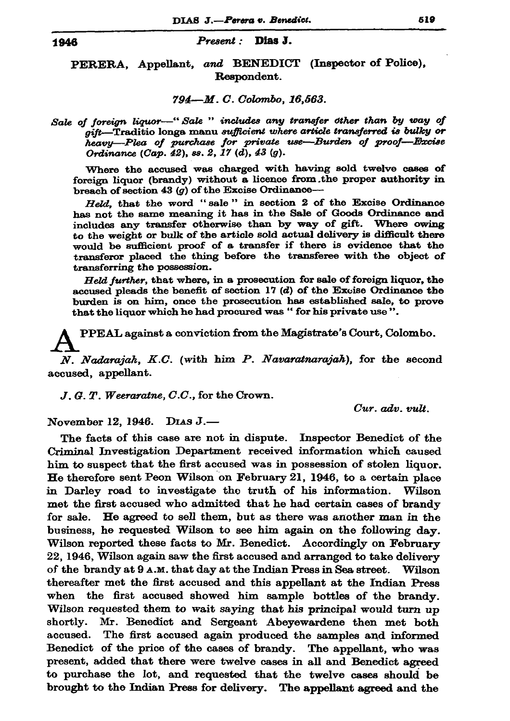## Present: Dias J.

PERERA, Appellant, and BENEDICT (Inspector of Police), Respondent.

## 794-M.C. Colombo, 16,563.

Sale of foreign liquor—"Sale " includes any transfer other than by way of gift-Traditio longa manu sufficient where article transferred is bulky or heavy-Plea of purchase for private use-Burden of proof-Excise Ordinance (Cap. 42), ss. 2, 17 (d), 43 (g).

Where the accused was charged with having sold twelve cases of foreign liquor (brandy) without a licence from the proper authority in breach of section 43  $(q)$  of the Excise Ordinance-

Held, that the word "sale" in section 2 of the Excise Ordinance has not the same meaning it has in the Sale of Goods Ordinance and includes any transfer otherwise than by way of gift. Where owing to the weight or bulk of the article sold actual delivery is difficult there would be sufficient proof of a transfer if there is evidence that the transferor placed the thing before the transferee with the object of transferring the possession.

Held further, that where, in a prosecution for sale of foreign liquor, the accused pleads the benefit of section  $17(d)$  of the Excise Ordinance the burden is on him, once the prosecution has established sale, to prove that the liquor which he had procured was "for his private use".

PPEAL against a conviction from the Magistrate's Court, Colombo.

N. Nadarajah, K.C. (with him P. Navaratnarajah), for the second accused, appellant.

 $J, G, T$ . Weeraratne,  $C.C.$ , for the Crown.

 $Cur.$   $adv.$   $vult.$ 

November 12, 1946. DIAS J.-

The facts of this case are not in dispute. Inspector Benedict of the Criminal Investigation Department received information which caused him to suspect that the first accused was in possession of stolen liquor. He therefore sent Peon Wilson on February 21, 1946, to a certain place in Darley road to investigate the truth of his information. Wilson met the first accused who admitted that he had certain cases of brandy for sale. He agreed to sell them, but as there was another man in the business, he requested Wilson to see him again on the following day. Wilson reported these facts to Mr. Benedict. Accordingly on February 22, 1946, Wilson again saw the first accused and arranged to take delivery of the brandy at  $9$  A.M. that day at the Indian Press in Sea street. Wilson thereafter met the first accused and this appellant at the Indian Press when the first accused showed him sample bottles of the brandy. Wilson requested them to wait saying that his principal would turn up shortly. Mr. Benedict and Sergeant Abeyewardene then met both accused. The first accused again produced the samples and informed Benedict of the price of the cases of brandy. The appellant, who was present, added that there were twelve cases in all and Benedict agreed to purchase the lot, and requested that the twelve cases should be brought to the Indian Press for delivery. The appellant agreed and the

1946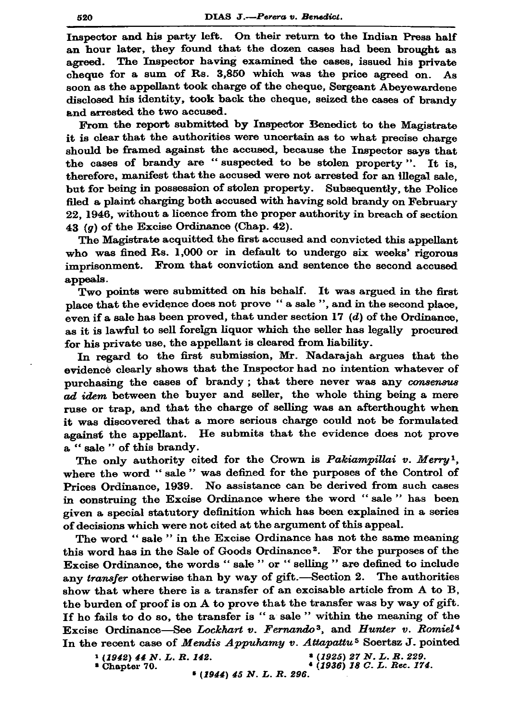Inspector and his party left. On their return to the Indian Press half an hour later, they found that the dozen cases had been brought as The Inspector having examined the cases, issued his private agreed. cheque for a sum of Rs. 3,850 which was the price agreed on. As soon as the appellant took charge of the cheque, Sergeant Abevewardene disclosed his identity, took back the cheque, seized the cases of brandy and arrested the two accused.

From the report submitted by Inspector Benedict to the Magistrate it is clear that the authorities were uncertain as to what precise charge should be framed against the accused, because the Inspector says that the cases of brandy are "suspected to be stolen property". It is. therefore, manifest that the accused were not arrested for an illegal sale. but for being in possession of stolen property. Subsequently, the Police filed a plaint charging both accused with having sold brandy on February 22. 1946, without a licence from the proper authority in breach of section 43 ( $q$ ) of the Excise Ordinance (Chap. 42).

The Magistrate acquitted the first accused and convicted this appellant who was fined Rs. 1,000 or in default to undergo six weeks' rigorous imprisonment. From that conviction and sentence the second accused appeals.

Two points were submitted on his behalf. It was argued in the first place that the evidence does not prove " a sale ", and in the second place, even if a sale has been proved, that under section 17  $(d)$  of the Ordinance. as it is lawful to sell foreign liquor which the seller has legally procured for his private use, the appellant is cleared from liability.

In regard to the first submission, Mr. Nadarajah argues that the evidence clearly shows that the Inspector had no intention whatever of purchasing the cases of brandy; that there never was any consensus ad idem between the buyer and seller, the whole thing being a mere ruse or trap, and that the charge of selling was an afterthought when it was discovered that a more serious charge could not be formulated against the appellant. He submits that the evidence does not prove a "sale" of this brandy.

The only authority cited for the Crown is Pakiampillai v. Merry<sup>1</sup>, where the word "sale" was defined for the purposes of the Control of Prices Ordinance, 1939. No assistance can be derived from such cases in construing the Excise Ordinance where the word "sale" has been given a special statutory definition which has been explained in a series of decisions which were not cited at the argument of this appeal.

The word "sale" in the Excise Ordinance has not the same meaning this word has in the Sale of Goods Ordinance<sup>2</sup>. For the purposes of the Excise Ordinance, the words " sale " or " selling " are defined to include any transfer otherwise than by way of gift.-Section 2. The authorities show that where there is a transfer of an excisable article from A to B, the burden of proof is on A to prove that the transfer was by way of gift. If he fails to do so, the transfer is "a sale" within the meaning of the Excise Ordinance-See Lockhart v. Fernando<sup>3</sup>, and Hunter v. Romiel<sup>4</sup> In the recent case of Mendis Appuhamy v. Attapattu<sup>5</sup> Soertsz J. pointed

 $(1942)$  44 N.L.R. 142. \* Chapter 70.

\* (1925) 27 N.L.R. 229.  $(1936)$  18 C. L. Rec. 174.

 $(1944)$  45 N. L. R. 296.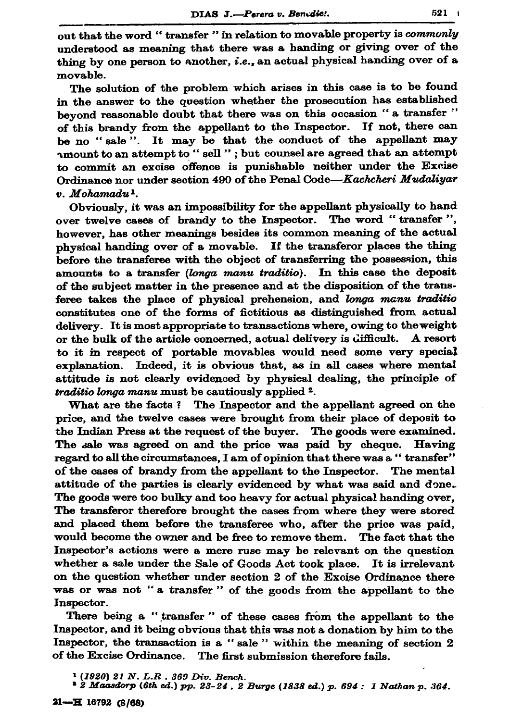out that the word "transfer " in relation to movable property is commonly understood as meaning that there was a handing or giving over of the thing by one person to another, i.e., an actual physical handing over of a  $movable.$ 

The solution of the problem which arises in this case is to be found in the answer to the question whether the prosecution has established beyond reasonable doubt that there was on this occasion "a transfer" of this brandy from the appellant to the Inspector. If not, there can be no "sale". It may be that the conduct of the appellant may amount to an attempt to " sell "; but counsel are agreed that an attempt to commit an excise offence is punishable neither under the Excise Ordinance nor under section 490 of the Penal Code-Kachcheri Mudaliyar  $v.$  Mohamadu<sup>1</sup>.

Obviously, it was an impossibility for the appellant physically to hand over twelve cases of brandy to the Inspector. The word "transfer". however, has other meanings besides its common meaning of the actual physical handing over of a movable. If the transferor places the thing before the transferee with the object of transferring the possession, this amounts to a transfer (longa manu traditio). In this case the deposit of the subject matter in the presence and at the disposition of the transferee takes the place of physical prehension, and longa manu traditio constitutes one of the forms of fictitious as distinguished from actual delivery. It is most appropriate to transactions where, owing to the weight or the bulk of the article concerned, actual delivery is difficult. A resort to it in respect of portable movables would need some very special explanation. Indeed, it is obvious that, as in all cases where mental attitude is not clearly evidenced by physical dealing, the principle of *traditio longa manu* must be cautiously applied <sup>2</sup>.

What are the facts? The Inspector and the appellant agreed on the price, and the twelve cases were brought from their place of deposit to the Indian Press at the request of the buyer. The goods were examined. The sale was agreed on and the price was paid by cheque. Having regard to all the circumstances, I am of opinion that there was a "transfer" of the cases of brandy from the appellant to the Inspector. The mental attitude of the parties is clearly evidenced by what was said and done. The goods were too bulky and too heavy for actual physical handing over, The transferor therefore brought the cases from where they were stored and placed them before the transferee who, after the price was paid, would become the owner and be free to remove them. The fact that the Inspector's actions were a mere ruse may be relevant on the question whether a sale under the Sale of Goods Act took place. It is irrelevant on the question whether under section 2 of the Excise Ordinance there was or was not "a transfer" of the goods from the appellant to the Inspector.

There being a "transfer" of these cases from the appellant to the Inspector, and it being obvious that this was not a donation by him to the Inspector, the transaction is a "sale" within the meaning of section 2 of the Excise Ordinance. The first submission therefore fails.

 $(1920)$  21 N. L.R. 369 Div. Bench.

<sup>&</sup>lt;sup>2</sup> 2 Maasdorp (6th ed.) pp. 23-24, 2 Burge (1838 ed.) p. 694 : 1 Nathan p. 364.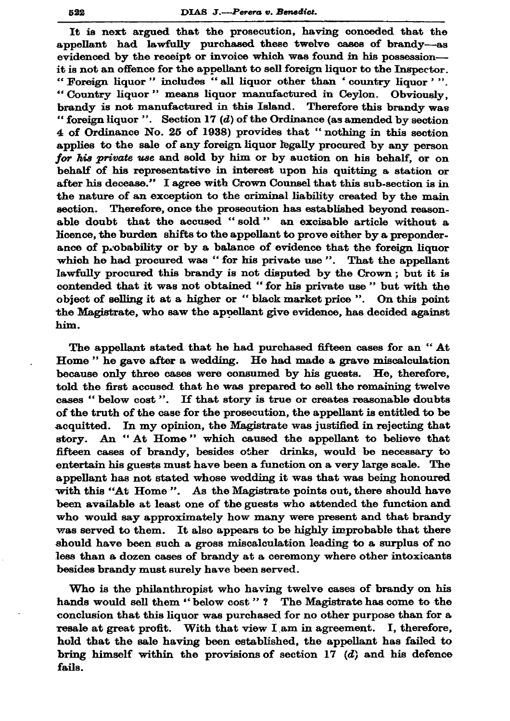It is next argued that the prosecution, having conceded that the appellant had lawfully purchased these twelve cases of brandy-as evidenced by the receipt or invoice which was found in his possessionit is not an offence for the appellant to sell foreign liquor to the Inspector. "Foreign liquor" includes "all liquor other than 'country liquor'". "Country liquor" means liquor manufactured in Cevlon. Obviously. brandy is not manufactured in this Island. Therefore this brandy was "foreign liquor". Section 17  $(d)$  of the Ordinance (as amended by section 4 of Ordinance No. 25 of 1938) provides that "nothing in this section applies to the sale of any foreign liquor legally procured by any person for his private use and sold by him or by auction on his behalf, or on behalf of his representative in interest upon his quitting a station or after his decease." I agree with Crown Counsel that this sub-section is in the nature of an exception to the criminal liability created by the main section. Therefore, once the prosecution has established beyond reasonable doubt that the accused "sold" an excisable article without a licence, the burden shifts to the appellant to prove either by a preponderance of probability or by a balance of evidence that the foreign liquor which he had procured was "for his private use". That the appellant lawfully procured this brandy is not disputed by the Crown; but it is contended that it was not obtained "for his private use" but with the object of selling it at a higher or "black market price ". On this point the Magistrate, who saw the appellant give evidence, has decided against him.

The appellant stated that he had purchased fifteen cases for an "At Home" he gave after a wedding. He had made a grave miscalculation because only three cases were consumed by his guests. He, therefore, told the first accused that he was prepared to sell the remaining twelve cases "below cost". If that story is true or creates reasonable doubts of the truth of the case for the prosecution, the appellant is entitled to be acquitted. In my opinion, the Magistrate was justified in rejecting that story. An "At Home" which caused the appellant to believe that fifteen cases of brandy, besides other drinks, would be necessary to entertain his guests must have been a function on a very large scale. The appellant has not stated whose wedding it was that was being honoured with this "At Home". As the Magistrate points out, there should have been available at least one of the guests who attended the function and who would say approximately how many were present and that brandy was served to them. It also appears to be highly improbable that there should have been such a gross miscalculation leading to a surplus of no less than a dozen cases of brandy at a ceremony where other intoxicants besides brandy must surely have been served.

Who is the philanthropist who having twelve cases of brandy on his hands would sell them "below cost"? The Magistrate has come to the conclusion that this liquor was purchased for no other purpose than for a resale at great profit. With that view I am in agreement. I, therefore, hold that the sale having been established, the appellant has failed to bring himself within the provisions of section 17  $(d)$  and his defence fails.